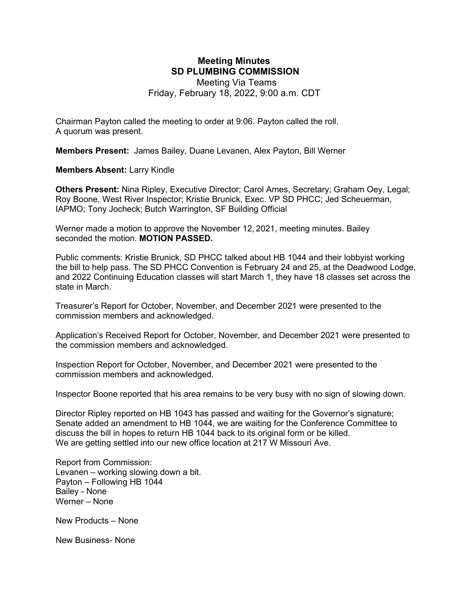## **Meeting Minutes SD PLUMBING COMMISSION**

Meeting Via Teams Friday, February 18, 2022, 9:00 a.m. CDT 

Chairman Payton called the meeting to order at 9:06. Payton called the roll. A quorum was present.

**Members Present:** James Bailey, Duane Levanen, Alex Payton, Bill Werner

**Members Absent:** Larry Kindle

**Others Present:** Nina Ripley, Executive Director; Carol Ames, Secretary; Graham Oey, Legal; Roy Boone, West River Inspector; Kristie Brunick, Exec. VP SD PHCC; Jed Scheuerman, IAPMO; Tony Jocheck; Butch Warrington, SF Building Official

Werner made a motion to approve the November 12, 2021, meeting minutes. Bailey seconded the motion. **MOTION PASSED.**

Public comments: Kristie Brunick, SD PHCC talked about HB 1044 and their lobbyist working the bill to help pass. The SD PHCC Convention is February 24 and 25, at the Deadwood Lodge, and 2022 Continuing Education classes will start March 1, they have 18 classes set across the state in March.

Treasurer's Report for October, November, and December 2021 were presented to the commission members and acknowledged.

Application's Received Report for October, November, and December 2021 were presented to the commission members and acknowledged.

Inspection Report for October, November, and December 2021 were presented to the commission members and acknowledged.

Inspector Boone reported that his area remains to be very busy with no sign of slowing down.

Director Ripley reported on HB 1043 has passed and waiting for the Governor's signature; Senate added an amendment to HB 1044, we are waiting for the Conference Committee to discuss the bill in hopes to return HB 1044 back to its original form or be killed. We are getting settled into our new office location at 217 W Missouri Ave.

Report from Commission: Levanen – working slowing down a bit. Payton – Following HB 1044 Bailey - None Werner – None

New Products – None

New Business- None